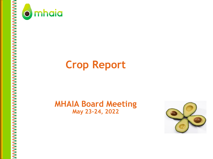



# **Crop Report**

# **MHAIA Board Meeting May 23-24, 2022**

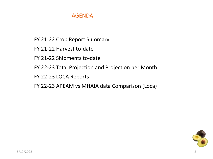#### AGENDA

- FY 21-22 Crop Report Summary
- FY 21-22 Harvest to-date
- FY 21-22 Shipments to-date
- FY 22-23 Total Projection and Projection per Month
- FY 22-23 LOCA Reports
- FY 22-23 APEAM vs MHAIA data Comparison (Loca)

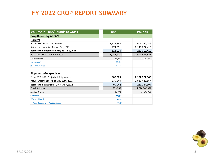#### **FY 2022 CROP REPORT SUMMARY**

| <b>Volume in Tons/Pounds at Gross</b>      | <b>Tons</b> | <b>Pounds</b> |
|--------------------------------------------|-------------|---------------|
| <b>Crop Report by APEAM</b>                |             |               |
| <b>Harvest</b>                             |             |               |
| 2021-2022 Estimated Harvest                | 1,135,868   | 2,504,160,286 |
| Actual Harvest - As of May 15th, 2022      | 974,601     | 2,148,627,410 |
| Balance to be Harvested-May 16- Jul 3,2022 | 114,310     | 252,010,412   |
| 2021-2022 Total Actual Harvest             | 1,088,911   | 2,400,637,822 |
| Ave/Wk -7 weeks                            | 16,330      | 36,001,487    |
| % Harvested                                | 89.5%       |               |
| % To be harvested                          | 10.5%       |               |
|                                            |             |               |
| <b>Shipments-Perspectivas</b>              |             |               |
| Total FY 21-22-Projected Shipments         | 967,389     | 2,132,727,843 |
| Actual Shipments - As of May 15th, 2022    | 839,340     | 1,850,428,557 |
| Balance to be shipped - Oct 4- Jul 4,2022  | 99,942      | 220,334,394   |
| <b>Total Shipments</b>                     | 939,282     | 2,070,762,951 |
| Ave/Wk -7 weeks                            | 14,277      | 31,476,342    |
| % Shipped                                  | 89.36%      |               |
| % To be shipped                            | 10.64%      |               |
| % Total Shipped over Total Projection      | $-2.91%$    |               |

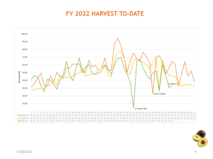## **FY 2022 HARVEST TO-DATE**



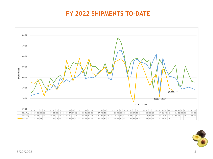## **FY 2022 SHIPMENTS TO-DATE**



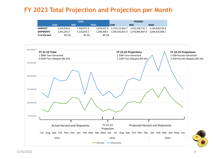#### **FY 2023 Total Projection and Projection per Month**

| <b>TONS</b>      |             |             | <b>POUNDS</b> |                 |                 |                 |
|------------------|-------------|-------------|---------------|-----------------|-----------------|-----------------|
|                  | <b>LOW</b>  | <b>MID</b>  | <b>HIGH</b>   | <b>LOW</b>      | <b>MID</b>      | HIGH            |
| <b>HARVEST</b>   | 1,235,636.8 | 1,330,071.9 | 1.424.507.0   | 2,724,112,954.7 | 2,932,306,732.7 | 3,140,500,510.8 |
| <b>SHIPMENTS</b> | 1.041.242.0 | 1,120,820.3 | 1.200.398.5   | 2,295,545,815.4 | 2,470,985,807.8 | 2.646.425.800.1 |
| % of Harvest     | 84.3%       | 84.3%       | 84.3%         |                 |                 |                 |

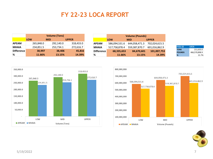#### **FY 22-23 LOCA REPORT**

|                   | <b>Volume (Tons)</b> |            |              |  |  |
|-------------------|----------------------|------------|--------------|--|--|
|                   | <b>LOW</b>           | <b>MID</b> | <b>UPPER</b> |  |  |
| <b>APEAM</b>      | 265,848.0            | 292,140.0  | 318,433.0    |  |  |
| <b>MHAIA</b>      | 234,851.5            | 253,734.1  | 272,616.7    |  |  |
| <b>Difference</b> | 30,997               | 38,406     | 45,816       |  |  |
| ℅                 | 11.66%               | 13.15%     | 14.39%       |  |  |

|                   | <b>Volume (Pounds)</b>                   |               |               |  |  |  |
|-------------------|------------------------------------------|---------------|---------------|--|--|--|
|                   | <b>LOW</b><br><b>UPPER</b><br><b>MID</b> |               |               |  |  |  |
| <b>APEAM</b>      | 586,094,531.6                            | 644,058,471.3 | 702,024,615.5 |  |  |  |
| <b>MHAIA</b>      | 517,758,878.4                            | 559,387,870.7 | 601,016,862.9 |  |  |  |
| <b>Difference</b> | 68,335,653                               | 84,670,601    | 101,007,753   |  |  |  |
| %                 | 11.66%                                   | 13.15%        | 14.39%        |  |  |  |

| <b>FY21-22</b> | LOCA          |
|----------------|---------------|
| <b>TONS</b>    | 211,633.0     |
| <b>POUNDS</b>  | 466,570,898.9 |
| %              | 21.7%         |